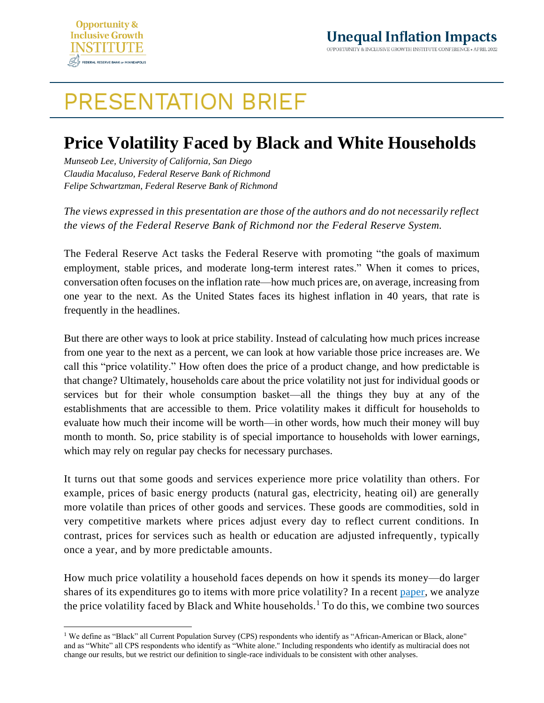

## **PRESENTATION BRIEF**

## **Price Volatility Faced by Black and White Households**

*Munseob Lee, University of California, San Diego Claudia Macaluso, Federal Reserve Bank of Richmond Felipe Schwartzman, Federal Reserve Bank of Richmond*

*The views expressed in this presentation are those of the authors and do not necessarily reflect the views of the Federal Reserve Bank of Richmond nor the Federal Reserve System.*

The Federal Reserve Act tasks the Federal Reserve with promoting "the goals of maximum employment, stable prices, and moderate long-term interest rates." When it comes to prices, conversation often focuses on the inflation rate—how much prices are, on average, increasing from one year to the next. As the United States faces its highest inflation in 40 years, that rate is frequently in the headlines.

But there are other ways to look at price stability. Instead of calculating how much prices increase from one year to the next as a percent, we can look at how variable those price increases are. We call this "price volatility." How often does the price of a product change, and how predictable is that change? Ultimately, households care about the price volatility not just for individual goods or services but for their whole consumption basket—all the things they buy at any of the establishments that are accessible to them. Price volatility makes it difficult for households to evaluate how much their income will be worth—in other words, how much their money will buy month to month. So, price stability is of special importance to households with lower earnings, which may rely on regular pay checks for necessary purchases.

It turns out that some goods and services experience more price volatility than others. For example, prices of basic energy products (natural gas, electricity, heating oil) are generally more volatile than prices of other goods and services. These goods are commodities, sold in very competitive markets where prices adjust every day to reflect current conditions. In contrast, prices for services such as health or education are adjusted infrequently, typically once a year, and by more predictable amounts.

How much price volatility a household faces depends on how it spends its money—do larger shares of its expenditures go to items with more price volatility? In a recent [paper,](https://drive.google.com/file/d/1Rruevnw3bd_sce8LGs_aQ9AG0OFylcf3/view?usp=sharing) we analyze the price volatility faced by Black and White households.<sup>1</sup> To do this, we combine two sources

<sup>&</sup>lt;sup>1</sup> We define as "Black" all Current Population Survey (CPS) respondents who identify as "African-American or Black, alone" and as "White" all CPS respondents who identify as "White alone." Including respondents who identify as multiracial does not change our results, but we restrict our definition to single-race individuals to be consistent with other analyses.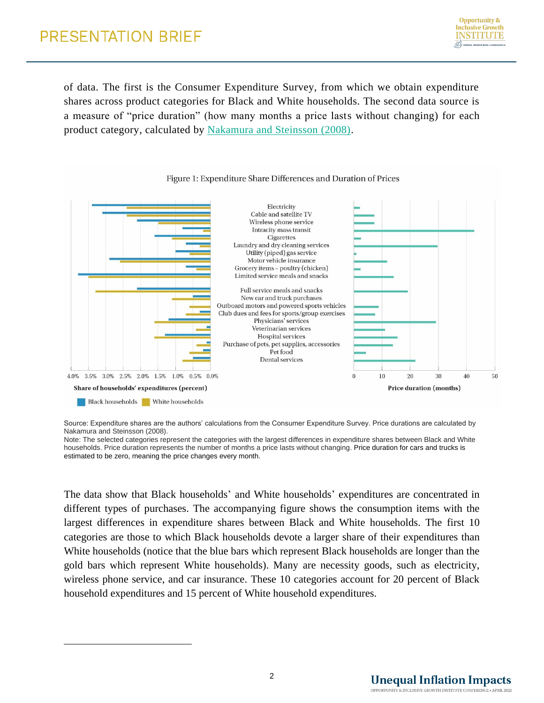of data. The first is the Consumer Expenditure Survey, from which we obtain expenditure shares across product categories for Black and White households. The second data source is a measure of "price duration" (how many months a price lasts without changing) for each product category, calculated by [Nakamura and Steinsson \(2008\).](https://eml.berkeley.edu/~enakamura/papers/fivefacts.pdf)



## Figure 1: Expenditure Share Differences and Duration of Prices

Source: Expenditure shares are the authors' calculations from the Consumer Expenditure Survey. Price durations are calculated by Nakamura and Steinsson (2008).

Note: The selected categories represent the categories with the largest differences in expenditure shares between Black and White households. Price duration represents the number of months a price lasts without changing. Price duration for cars and trucks is estimated to be zero, meaning the price changes every month.

The data show that Black households' and White households' expenditures are concentrated in different types of purchases. The accompanying figure shows the consumption items with the largest differences in expenditure shares between Black and White households. The first 10 categories are those to which Black households devote a larger share of their expenditures than White households (notice that the blue bars which represent Black households are longer than the gold bars which represent White households). Many are necessity goods, such as electricity, wireless phone service, and car insurance. These 10 categories account for 20 percent of Black household expenditures and 15 percent of White household expenditures.